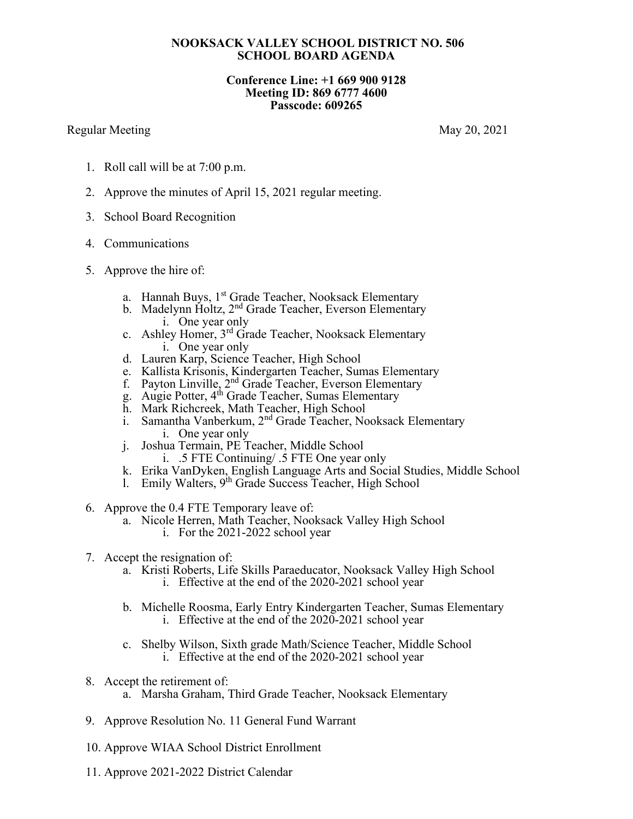## **NOOKSACK VALLEY SCHOOL DISTRICT NO. 506 SCHOOL BOARD AGENDA**

## **Conference Line: +1 669 900 9128 Meeting ID: 869 6777 4600 Passcode: 609265**

## Regular Meeting May 20, 2021

- 1. Roll call will be at 7:00 p.m.
- 2. Approve the minutes of April 15, 2021 regular meeting.
- 3. School Board Recognition
- 4. Communications
- 5. Approve the hire of:
	- a. Hannah Buys, 1<sup>st</sup> Grade Teacher, Nooksack Elementary
	- b. Madelynn Holtz, 2<sup>nd</sup> Grade Teacher, Everson Elementary i. One year only
	- c. Ashley Homer, 3rd Grade Teacher, Nooksack Elementary i. One year only
	- d. Lauren Karp, Science Teacher, High School
	- e. Kallista Krisonis, Kindergarten Teacher, Sumas Elementary
	- f. Payton Linville, 2<sup>nd</sup> Grade Teacher, Everson Elementary
	- g. Augie Potter, 4<sup>th</sup> Grade Teacher, Sumas Elementary
	- h. Mark Richcreek, Math Teacher, High School
	- i. Samantha Vanberkum, 2<sup>nd</sup> Grade Teacher, Nooksack Elementary i. One year only
	- j. Joshua Termain, PE Teacher, Middle School i. .5 FTE Continuing/ .5 FTE One year only
	- k. Erika VanDyken, English Language Arts and Social Studies, Middle School
	- 1. Emily Walters,  $9^{th}$  Grade Success Teacher, High School
- 6. Approve the 0.4 FTE Temporary leave of:
	- a. Nicole Herren, Math Teacher, Nooksack Valley High School
		- i. For the 2021-2022 school year
- 7. Accept the resignation of:
	- a. Kristi Roberts, Life Skills Paraeducator, Nooksack Valley High School i. Effective at the end of the 2020-2021 school year
	- b. Michelle Roosma, Early Entry Kindergarten Teacher, Sumas Elementary i. Effective at the end of the 2020-2021 school year
	- c. Shelby Wilson, Sixth grade Math/Science Teacher, Middle School i. Effective at the end of the 2020-2021 school year
- 8. Accept the retirement of: a. Marsha Graham, Third Grade Teacher, Nooksack Elementary
- 9. Approve Resolution No. 11 General Fund Warrant
- 10. Approve WIAA School District Enrollment
- 11. Approve 2021-2022 District Calendar